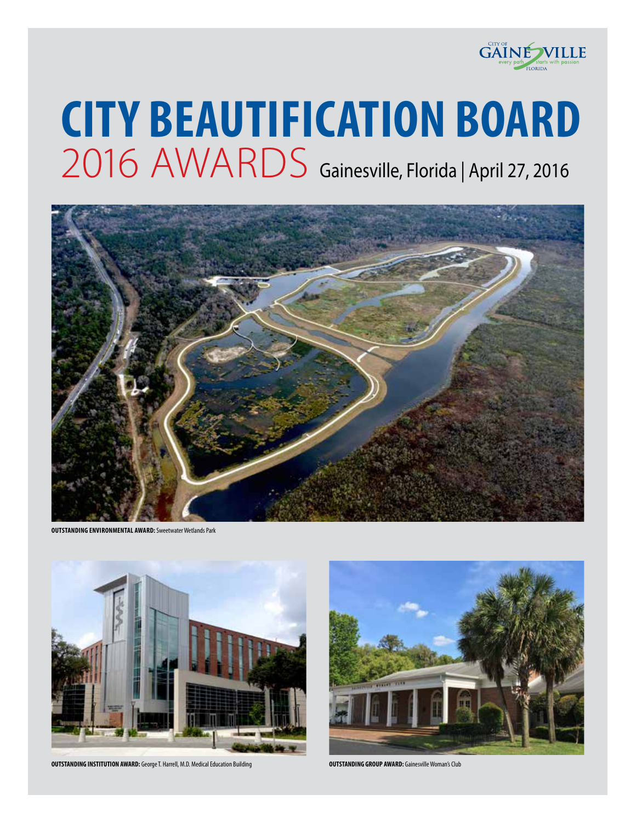

# **CITY BEAUTIFICATION BOARD** 2016 AWARDS Gainesville, Florida | April 27, 2016



**OUTSTANDING ENVIRONMENTAL AWARD:** Sweetwater Wetlands Park



**OUTSTANDING INSTITUTION AWARD:** George T. Harrell, M.D. Medical Education Building **Company and County County County County County County County County County County County County County County County County County County** 

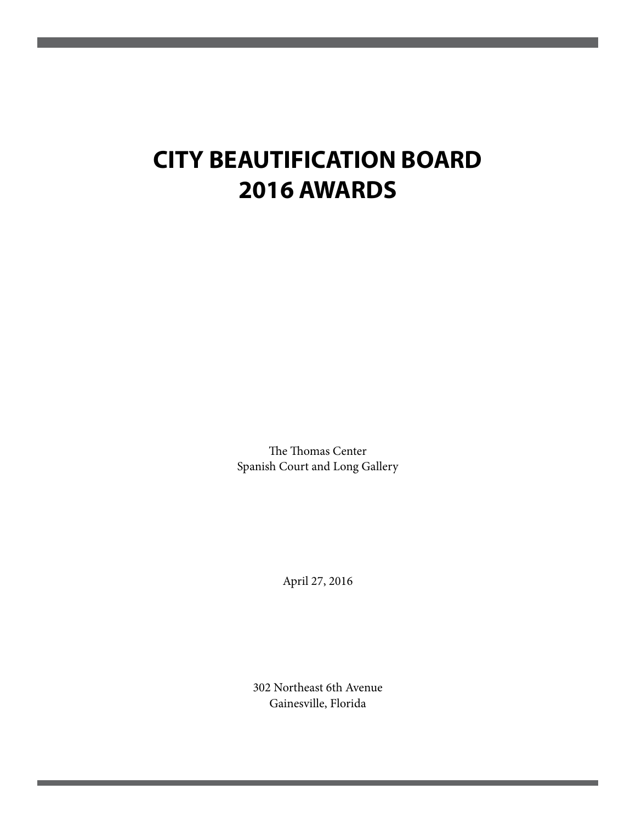# **CITY BEAUTIFICATION BOARD 2016 AWARDS**

The Thomas Center Spanish Court and Long Gallery

April 27, 2016

302 Northeast 6th Avenue Gainesville, Florida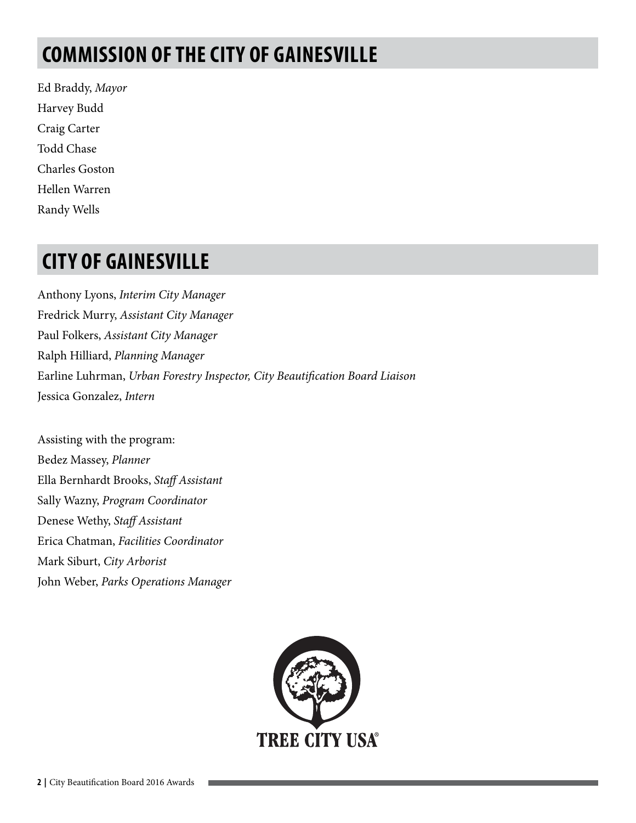# **COMMISSION OF THE CITY OF GAINESVILLE**

Ed Braddy, *Mayor* Harvey Budd Craig Carter Todd Chase Charles Goston Hellen Warren Randy Wells

### **CITY OF GAINESVILLE**

Anthony Lyons, *Interim City Manager* Fredrick Murry, *Assistant City Manager* Paul Folkers, *Assistant City Manager* Ralph Hilliard, *Planning Manager* Earline Luhrman, *Urban Forestry Inspector, City Beautification Board Liaison*  Jessica Gonzalez, *Intern* 

Assisting with the program: Bedez Massey, *Planner* Ella Bernhardt Brooks, *Staff Assistant*  Sally Wazny, *Program Coordinator*  Denese Wethy, *Staff Assistant*  Erica Chatman, *Facilities Coordinator*  Mark Siburt, *City Arborist*  John Weber, *Parks Operations Manager*

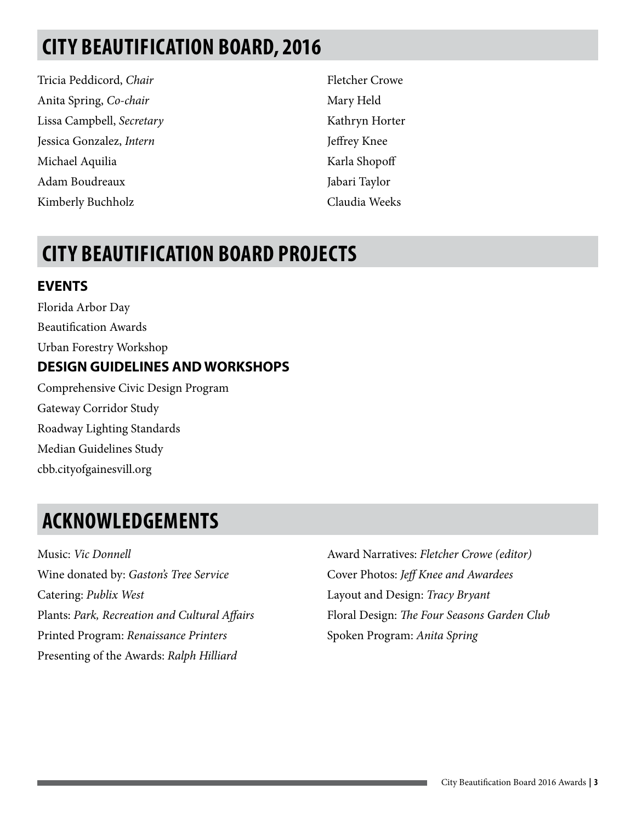# **CITY BEAUTIFICATION BOARD, 2016**

Tricia Peddicord, *Chair* Anita Spring, *Co-chair* Lissa Campbell, *Secretary* Jessica Gonzalez, *Intern* Michael Aquilia Adam Boudreaux Kimberly Buchholz

Fletcher Crowe Mary Held Kathryn Horter Jeffrey Knee Karla Shopoff Jabari Taylor Claudia Weeks

# **CITY BEAUTIFICATION BOARD PROJECTS**

#### **EVENTS**

Florida Arbor Day Beautification Awards Urban Forestry Workshop **DESIGN GUIDELINES AND WORKSHOPS** Comprehensive Civic Design Program Gateway Corridor Study Roadway Lighting Standards Median Guidelines Study cbb.cityofgainesvill.org

# **ACKNOWLEDGEMENTS**

Music: *Vic Donnell* Wine donated by: *Gaston's Tree Service*  Catering: *Publix West*  Plants: *Park, Recreation and Cultural Affairs*  Printed Program: *Renaissance Printers*  Presenting of the Awards: *Ralph Hilliard*

Award Narratives: *Fletcher Crowe (editor)*  Cover Photos: *Jeff Knee and Awardees* Layout and Design: *Tracy Bryant*  Floral Design: *The Four Seasons Garden Club* Spoken Program: *Anita Spring*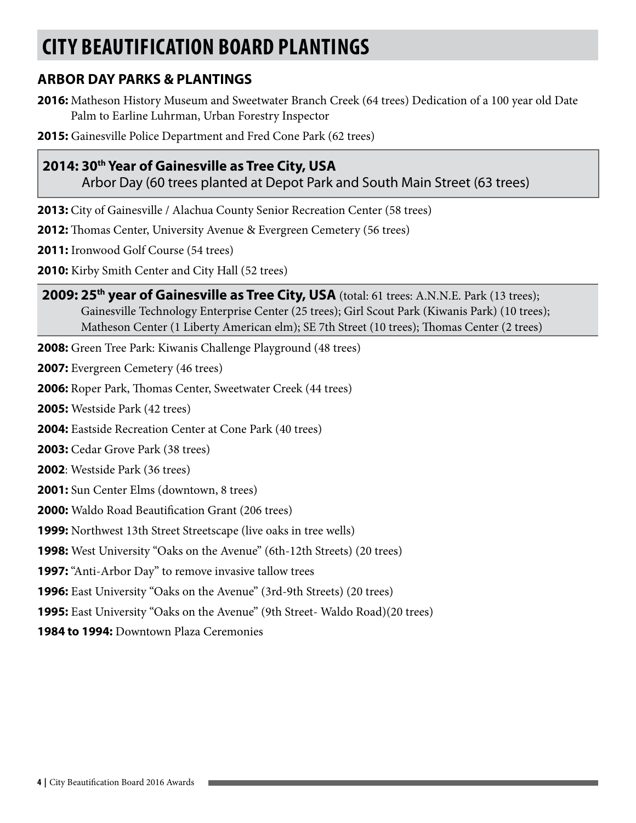# **CITY BEAUTIFICATION BOARD PLANTINGS**

#### **ARBOR DAY PARKS & PLANTINGS**

- **2016:** Matheson History Museum and Sweetwater Branch Creek (64 trees) Dedication of a 100 year old Date Palm to Earline Luhrman, Urban Forestry Inspector
- **2015:** Gainesville Police Department and Fred Cone Park (62 trees)

#### **2014: 30th Year of Gainesville as Tree City, USA**

Arbor Day (60 trees planted at Depot Park and South Main Street (63 trees)

- **2013:** City of Gainesville / Alachua County Senior Recreation Center (58 trees)
- **2012:** Thomas Center, University Avenue & Evergreen Cemetery (56 trees)

**2011:** Ironwood Golf Course (54 trees)

- **2010:** Kirby Smith Center and City Hall (52 trees)
- 2009: 25<sup>th</sup> year of Gainesville as Tree City, USA (total: 61 trees: A.N.N.E. Park (13 trees); Gainesville Technology Enterprise Center (25 trees); Girl Scout Park (Kiwanis Park) (10 trees); Matheson Center (1 Liberty American elm); SE 7th Street (10 trees); Thomas Center (2 trees)
- **2008:** Green Tree Park: Kiwanis Challenge Playground (48 trees)
- **2007:** Evergreen Cemetery (46 trees)
- **2006:** Roper Park, Thomas Center, Sweetwater Creek (44 trees)
- **2005:** Westside Park (42 trees)
- **2004:** Eastside Recreation Center at Cone Park (40 trees)
- **2003:** Cedar Grove Park (38 trees)
- **2002**: Westside Park (36 trees)
- **2001:** Sun Center Elms (downtown, 8 trees)
- **2000:** Waldo Road Beautification Grant (206 trees)
- **1999:** Northwest 13th Street Streetscape (live oaks in tree wells)
- **1998:** West University "Oaks on the Avenue" (6th-12th Streets) (20 trees)
- **1997:** "Anti-Arbor Day" to remove invasive tallow trees
- **1996:** East University "Oaks on the Avenue" (3rd-9th Streets) (20 trees)
- **1995:** East University "Oaks on the Avenue" (9th Street- Waldo Road)(20 trees)
- **1984 to 1994:** Downtown Plaza Ceremonies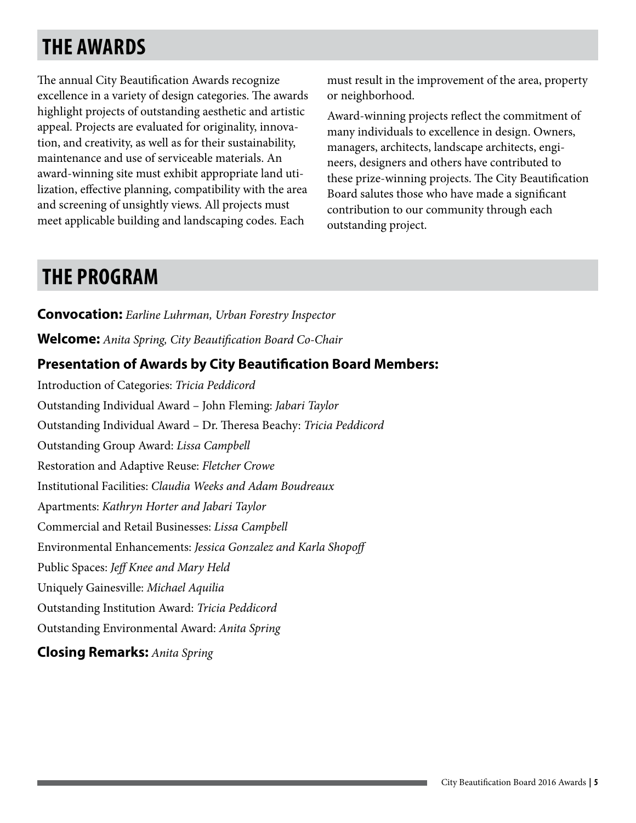# **THE AWARDS**

The annual City Beautification Awards recognize excellence in a variety of design categories. The awards highlight projects of outstanding aesthetic and artistic appeal. Projects are evaluated for originality, innovation, and creativity, as well as for their sustainability, maintenance and use of serviceable materials. An award-winning site must exhibit appropriate land utilization, effective planning, compatibility with the area and screening of unsightly views. All projects must meet applicable building and landscaping codes. Each

must result in the improvement of the area, property or neighborhood.

Award-winning projects reflect the commitment of many individuals to excellence in design. Owners, managers, architects, landscape architects, engineers, designers and others have contributed to these prize-winning projects. The City Beautification Board salutes those who have made a significant contribution to our community through each outstanding project.

### **THE PROGRAM**

**Convocation:** *Earline Luhrman, Urban Forestry Inspector*  **Welcome:** *Anita Spring, City Beautification Board Co-Chair* **Presentation of Awards by City Beautification Board Members:**  Introduction of Categories: *Tricia Peddicord* Outstanding Individual Award – John Fleming: *Jabari Taylor* Outstanding Individual Award – Dr. Theresa Beachy: *Tricia Peddicord* Outstanding Group Award: *Lissa Campbell* Restoration and Adaptive Reuse: *Fletcher Crowe* Institutional Facilities: *Claudia Weeks and Adam Boudreaux* Apartments: *Kathryn Horter and Jabari Taylor*  Commercial and Retail Businesses: *Lissa Campbell*  Environmental Enhancements: *Jessica Gonzalez and Karla Shopoff*  Public Spaces: *Jeff Knee and Mary Held* Uniquely Gainesville: *Michael Aquilia* Outstanding Institution Award: *Tricia Peddicord*  Outstanding Environmental Award: *Anita Spring*  **Closing Remarks:** *Anita Spring*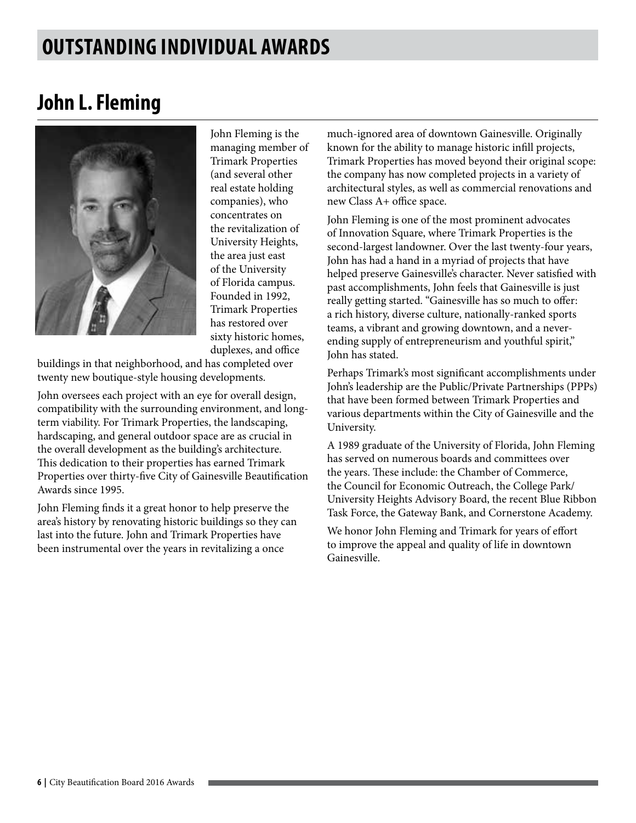### **OUTSTANDING INDIVIDUAL AWARDS**

### **John L. Fleming**



John Fleming is the managing member of Trimark Properties (and several other real estate holding companies), who concentrates on the revitalization of University Heights, the area just east of the University of Florida campus. Founded in 1992, Trimark Properties has restored over sixty historic homes, duplexes, and office

buildings in that neighborhood, and has completed over twenty new boutique-style housing developments.

John oversees each project with an eye for overall design, compatibility with the surrounding environment, and longterm viability. For Trimark Properties, the landscaping, hardscaping, and general outdoor space are as crucial in the overall development as the building's architecture. This dedication to their properties has earned Trimark Properties over thirty-five City of Gainesville Beautification Awards since 1995.

John Fleming finds it a great honor to help preserve the area's history by renovating historic buildings so they can last into the future. John and Trimark Properties have been instrumental over the years in revitalizing a once

much-ignored area of downtown Gainesville. Originally known for the ability to manage historic infill projects, Trimark Properties has moved beyond their original scope: the company has now completed projects in a variety of architectural styles, as well as commercial renovations and new Class A+ office space.

John Fleming is one of the most prominent advocates of Innovation Square, where Trimark Properties is the second-largest landowner. Over the last twenty-four years, John has had a hand in a myriad of projects that have helped preserve Gainesville's character. Never satisfied with past accomplishments, John feels that Gainesville is just really getting started. "Gainesville has so much to offer: a rich history, diverse culture, nationally-ranked sports teams, a vibrant and growing downtown, and a neverending supply of entrepreneurism and youthful spirit," John has stated.

Perhaps Trimark's most significant accomplishments under John's leadership are the Public/Private Partnerships (PPPs) that have been formed between Trimark Properties and various departments within the City of Gainesville and the University.

A 1989 graduate of the University of Florida, John Fleming has served on numerous boards and committees over the years. These include: the Chamber of Commerce, the Council for Economic Outreach, the College Park/ University Heights Advisory Board, the recent Blue Ribbon Task Force, the Gateway Bank, and Cornerstone Academy.

We honor John Fleming and Trimark for years of effort to improve the appeal and quality of life in downtown Gainesville.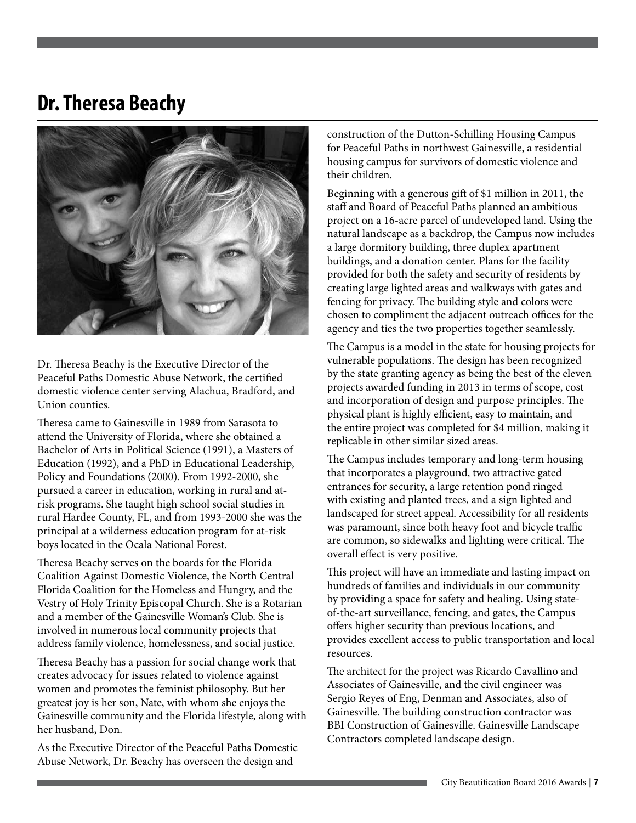### **Dr. Theresa Beachy**



Dr. Theresa Beachy is the Executive Director of the Peaceful Paths Domestic Abuse Network, the certified domestic violence center serving Alachua, Bradford, and Union counties.

Theresa came to Gainesville in 1989 from Sarasota to attend the University of Florida, where she obtained a Bachelor of Arts in Political Science (1991), a Masters of Education (1992), and a PhD in Educational Leadership, Policy and Foundations (2000). From 1992-2000, she pursued a career in education, working in rural and atrisk programs. She taught high school social studies in rural Hardee County, FL, and from 1993-2000 she was the principal at a wilderness education program for at-risk boys located in the Ocala National Forest.

Theresa Beachy serves on the boards for the Florida Coalition Against Domestic Violence, the North Central Florida Coalition for the Homeless and Hungry, and the Vestry of Holy Trinity Episcopal Church. She is a Rotarian and a member of the Gainesville Woman's Club. She is involved in numerous local community projects that address family violence, homelessness, and social justice.

Theresa Beachy has a passion for social change work that creates advocacy for issues related to violence against women and promotes the feminist philosophy. But her greatest joy is her son, Nate, with whom she enjoys the Gainesville community and the Florida lifestyle, along with her husband, Don.

As the Executive Director of the Peaceful Paths Domestic Abuse Network, Dr. Beachy has overseen the design and

construction of the Dutton-Schilling Housing Campus for Peaceful Paths in northwest Gainesville, a residential housing campus for survivors of domestic violence and their children.

Beginning with a generous gift of \$1 million in 2011, the staff and Board of Peaceful Paths planned an ambitious project on a 16-acre parcel of undeveloped land. Using the natural landscape as a backdrop, the Campus now includes a large dormitory building, three duplex apartment buildings, and a donation center. Plans for the facility provided for both the safety and security of residents by creating large lighted areas and walkways with gates and fencing for privacy. The building style and colors were chosen to compliment the adjacent outreach offices for the agency and ties the two properties together seamlessly.

The Campus is a model in the state for housing projects for vulnerable populations. The design has been recognized by the state granting agency as being the best of the eleven projects awarded funding in 2013 in terms of scope, cost and incorporation of design and purpose principles. The physical plant is highly efficient, easy to maintain, and the entire project was completed for \$4 million, making it replicable in other similar sized areas.

The Campus includes temporary and long-term housing that incorporates a playground, two attractive gated entrances for security, a large retention pond ringed with existing and planted trees, and a sign lighted and landscaped for street appeal. Accessibility for all residents was paramount, since both heavy foot and bicycle traffic are common, so sidewalks and lighting were critical. The overall effect is very positive.

This project will have an immediate and lasting impact on hundreds of families and individuals in our community by providing a space for safety and healing. Using stateof-the-art surveillance, fencing, and gates, the Campus offers higher security than previous locations, and provides excellent access to public transportation and local resources.

The architect for the project was Ricardo Cavallino and Associates of Gainesville, and the civil engineer was Sergio Reyes of Eng, Denman and Associates, also of Gainesville. The building construction contractor was BBI Construction of Gainesville. Gainesville Landscape Contractors completed landscape design.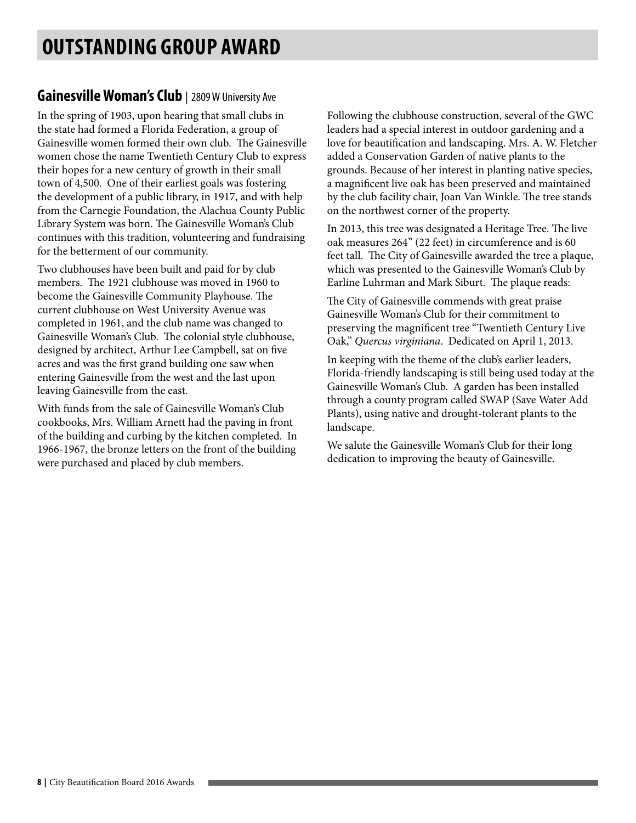#### **Gainesville Woman's Club** | 2809 W University Ave

In the spring of 1903, upon hearing that small clubs in the state had formed a Florida Federation, a group of Gainesville women formed their own club. The Gainesville women chose the name Twentieth Century Club to express their hopes for a new century of growth in their small town of 4,500. One of their earliest goals was fostering the development of a public library, in 1917, and with help from the Carnegie Foundation, the Alachua County Public Library System was born. The Gainesville Woman's Club continues with this tradition, volunteering and fundraising for the betterment of our community.

Two clubhouses have been built and paid for by club members. The 1921 clubhouse was moved in 1960 to become the Gainesville Community Playhouse. The current clubhouse on West University Avenue was completed in 1961, and the club name was changed to Gainesville Woman's Club. The colonial style clubhouse, designed by architect, Arthur Lee Campbell, sat on five acres and was the first grand building one saw when entering Gainesville from the west and the last upon leaving Gainesville from the east.

With funds from the sale of Gainesville Woman's Club cookbooks, Mrs. William Arnett had the paving in front of the building and curbing by the kitchen completed. In 1966-1967, the bronze letters on the front of the building were purchased and placed by club members.

Following the clubhouse construction, several of the GWC leaders had a special interest in outdoor gardening and a love for beautification and landscaping. Mrs. A. W. Fletcher added a Conservation Garden of native plants to the grounds. Because of her interest in planting native species, a magnificent live oak has been preserved and maintained by the club facility chair, Joan Van Winkle. The tree stands on the northwest corner of the property.

In 2013, this tree was designated a Heritage Tree. The live oak measures 264" (22 feet) in circumference and is 60 feet tall. The City of Gainesville awarded the tree a plaque, which was presented to the Gainesville Woman's Club by Earline Luhrman and Mark Siburt. The plaque reads:

The City of Gainesville commends with great praise Gainesville Woman's Club for their commitment to preserving the magnificent tree "Twentieth Century Live Oak," *Quercus virginiana*. Dedicated on April 1, 2013.

In keeping with the theme of the club's earlier leaders, Florida-friendly landscaping is still being used today at the Gainesville Woman's Club. A garden has been installed through a county program called SWAP (Save Water Add Plants), using native and drought-tolerant plants to the landscape.

We salute the Gainesville Woman's Club for their long dedication to improving the beauty of Gainesville.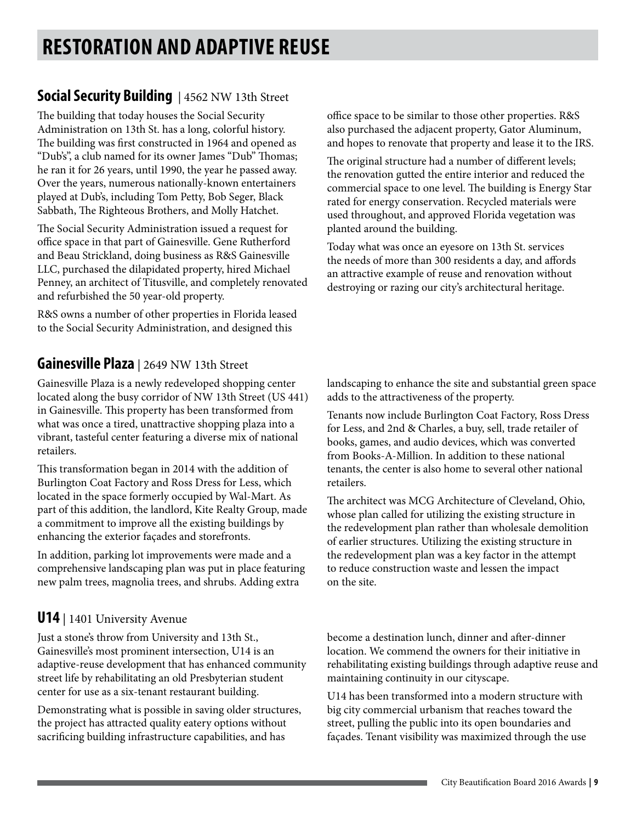# **RESTORATION AND ADAPTIVE REUSE**

### **Social Security Building** | 4562 NW 13th Street

The building that today houses the Social Security Administration on 13th St. has a long, colorful history. The building was first constructed in 1964 and opened as "Dub's", a club named for its owner James "Dub" Thomas; he ran it for 26 years, until 1990, the year he passed away. Over the years, numerous nationally-known entertainers played at Dub's, including Tom Petty, Bob Seger, Black Sabbath, The Righteous Brothers, and Molly Hatchet.

The Social Security Administration issued a request for office space in that part of Gainesville. Gene Rutherford and Beau Strickland, doing business as R&S Gainesville LLC, purchased the dilapidated property, hired Michael Penney, an architect of Titusville, and completely renovated and refurbished the 50 year-old property.

R&S owns a number of other properties in Florida leased to the Social Security Administration, and designed this

#### **Gainesville Plaza** | 2649 NW 13th Street

Gainesville Plaza is a newly redeveloped shopping center located along the busy corridor of NW 13th Street (US 441) in Gainesville. This property has been transformed from what was once a tired, unattractive shopping plaza into a vibrant, tasteful center featuring a diverse mix of national retailers.

This transformation began in 2014 with the addition of Burlington Coat Factory and Ross Dress for Less, which located in the space formerly occupied by Wal-Mart. As part of this addition, the landlord, Kite Realty Group, made a commitment to improve all the existing buildings by enhancing the exterior façades and storefronts.

In addition, parking lot improvements were made and a comprehensive landscaping plan was put in place featuring new palm trees, magnolia trees, and shrubs. Adding extra

#### **U14** | 1401 University Avenue

Just a stone's throw from University and 13th St., Gainesville's most prominent intersection, U14 is an adaptive-reuse development that has enhanced community street life by rehabilitating an old Presbyterian student center for use as a six-tenant restaurant building.

Demonstrating what is possible in saving older structures, the project has attracted quality eatery options without sacrificing building infrastructure capabilities, and has

office space to be similar to those other properties. R&S also purchased the adjacent property, Gator Aluminum, and hopes to renovate that property and lease it to the IRS.

The original structure had a number of different levels; the renovation gutted the entire interior and reduced the commercial space to one level. The building is Energy Star rated for energy conservation. Recycled materials were used throughout, and approved Florida vegetation was planted around the building.

Today what was once an eyesore on 13th St. services the needs of more than 300 residents a day, and affords an attractive example of reuse and renovation without destroying or razing our city's architectural heritage.

landscaping to enhance the site and substantial green space adds to the attractiveness of the property.

Tenants now include Burlington Coat Factory, Ross Dress for Less, and 2nd & Charles, a buy, sell, trade retailer of books, games, and audio devices, which was converted from Books-A-Million. In addition to these national tenants, the center is also home to several other national retailers.

The architect was MCG Architecture of Cleveland, Ohio, whose plan called for utilizing the existing structure in the redevelopment plan rather than wholesale demolition of earlier structures. Utilizing the existing structure in the redevelopment plan was a key factor in the attempt to reduce construction waste and lessen the impact on the site.

become a destination lunch, dinner and after-dinner location. We commend the owners for their initiative in rehabilitating existing buildings through adaptive reuse and maintaining continuity in our cityscape.

U14 has been transformed into a modern structure with big city commercial urbanism that reaches toward the street, pulling the public into its open boundaries and façades. Tenant visibility was maximized through the use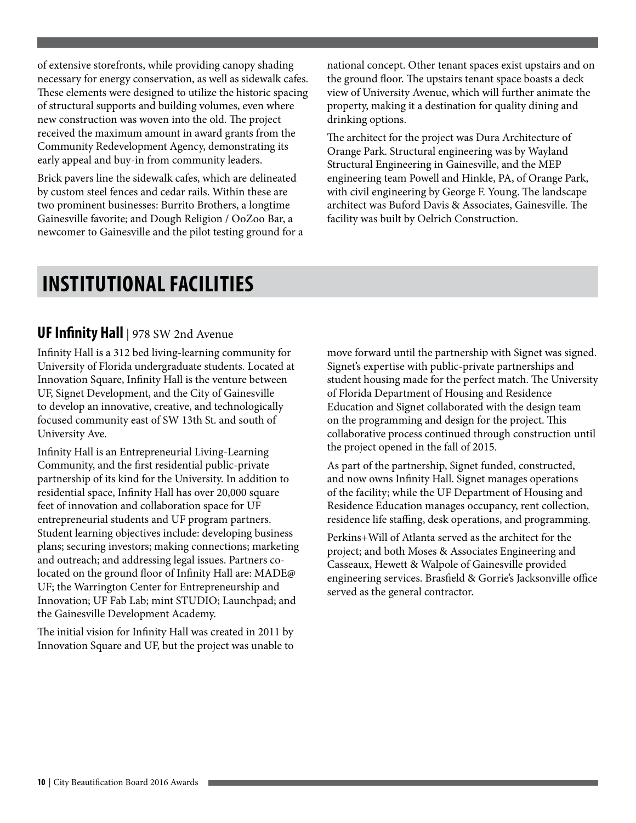of extensive storefronts, while providing canopy shading necessary for energy conservation, as well as sidewalk cafes. These elements were designed to utilize the historic spacing of structural supports and building volumes, even where new construction was woven into the old. The project received the maximum amount in award grants from the Community Redevelopment Agency, demonstrating its early appeal and buy-in from community leaders.

Brick pavers line the sidewalk cafes, which are delineated by custom steel fences and cedar rails. Within these are two prominent businesses: Burrito Brothers, a longtime Gainesville favorite; and Dough Religion / OoZoo Bar, a newcomer to Gainesville and the pilot testing ground for a

national concept. Other tenant spaces exist upstairs and on the ground floor. The upstairs tenant space boasts a deck view of University Avenue, which will further animate the property, making it a destination for quality dining and drinking options.

The architect for the project was Dura Architecture of Orange Park. Structural engineering was by Wayland Structural Engineering in Gainesville, and the MEP engineering team Powell and Hinkle, PA, of Orange Park, with civil engineering by George F. Young. The landscape architect was Buford Davis & Associates, Gainesville. The facility was built by Oelrich Construction.

### **INSTITUTIONAL FACILITIES**

#### **UF Infinity Hall** | 978 SW 2nd Avenue

Infinity Hall is a 312 bed living-learning community for University of Florida undergraduate students. Located at Innovation Square, Infinity Hall is the venture between UF, Signet Development, and the City of Gainesville to develop an innovative, creative, and technologically focused community east of SW 13th St. and south of University Ave.

Infinity Hall is an Entrepreneurial Living-Learning Community, and the first residential public-private partnership of its kind for the University. In addition to residential space, Infinity Hall has over 20,000 square feet of innovation and collaboration space for UF entrepreneurial students and UF program partners. Student learning objectives include: developing business plans; securing investors; making connections; marketing and outreach; and addressing legal issues. Partners colocated on the ground floor of Infinity Hall are: MADE@ UF; the Warrington Center for Entrepreneurship and Innovation; UF Fab Lab; mint STUDIO; Launchpad; and the Gainesville Development Academy.

The initial vision for Infinity Hall was created in 2011 by Innovation Square and UF, but the project was unable to move forward until the partnership with Signet was signed. Signet's expertise with public-private partnerships and student housing made for the perfect match. The University of Florida Department of Housing and Residence Education and Signet collaborated with the design team on the programming and design for the project. This collaborative process continued through construction until the project opened in the fall of 2015.

As part of the partnership, Signet funded, constructed, and now owns Infinity Hall. Signet manages operations of the facility; while the UF Department of Housing and Residence Education manages occupancy, rent collection, residence life staffing, desk operations, and programming.

Perkins+Will of Atlanta served as the architect for the project; and both Moses & Associates Engineering and Casseaux, Hewett & Walpole of Gainesville provided engineering services. Brasfield & Gorrie's Jacksonville office served as the general contractor.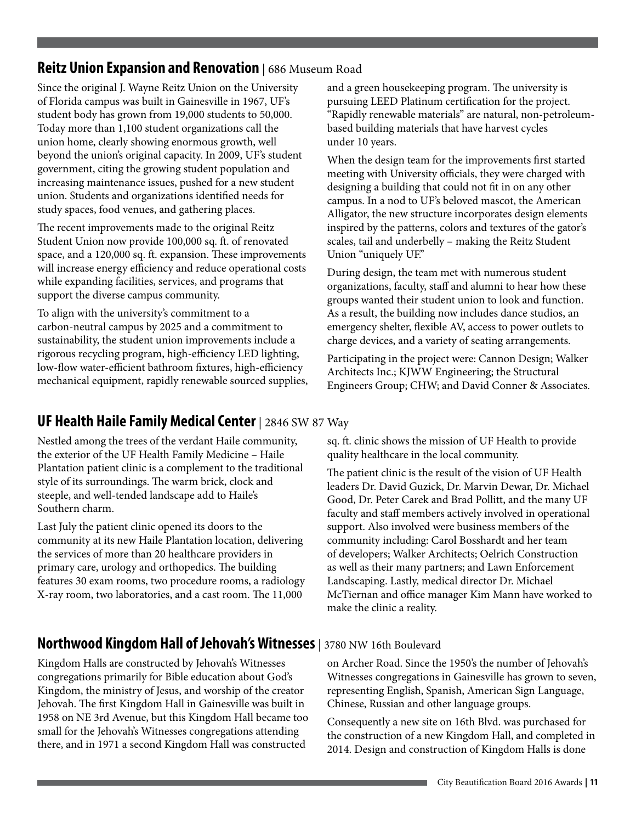#### **Reitz Union Expansion and Renovation** | 686 Museum Road

Since the original J. Wayne Reitz Union on the University of Florida campus was built in Gainesville in 1967, UF's student body has grown from 19,000 students to 50,000. Today more than 1,100 student organizations call the union home, clearly showing enormous growth, well beyond the union's original capacity. In 2009, UF's student government, citing the growing student population and increasing maintenance issues, pushed for a new student union. Students and organizations identified needs for study spaces, food venues, and gathering places.

The recent improvements made to the original Reitz Student Union now provide 100,000 sq. ft. of renovated space, and a 120,000 sq. ft. expansion. These improvements will increase energy efficiency and reduce operational costs while expanding facilities, services, and programs that support the diverse campus community.

To align with the university's commitment to a carbon-neutral campus by 2025 and a commitment to sustainability, the student union improvements include a rigorous recycling program, high-efficiency LED lighting, low-flow water-efficient bathroom fixtures, high-efficiency mechanical equipment, rapidly renewable sourced supplies, and a green housekeeping program. The university is pursuing LEED Platinum certification for the project. "Rapidly renewable materials" are natural, non-petroleumbased building materials that have harvest cycles under 10 years.

When the design team for the improvements first started meeting with University officials, they were charged with designing a building that could not fit in on any other campus. In a nod to UF's beloved mascot, the American Alligator, the new structure incorporates design elements inspired by the patterns, colors and textures of the gator's scales, tail and underbelly – making the Reitz Student Union "uniquely UF."

During design, the team met with numerous student organizations, faculty, staff and alumni to hear how these groups wanted their student union to look and function. As a result, the building now includes dance studios, an emergency shelter, flexible AV, access to power outlets to charge devices, and a variety of seating arrangements.

Participating in the project were: Cannon Design; Walker Architects Inc.; KJWW Engineering; the Structural Engineers Group; CHW; and David Conner & Associates.

#### **UF Health Haile Family Medical Center** | 2846 SW 87 Way

Nestled among the trees of the verdant Haile community, the exterior of the UF Health Family Medicine – Haile Plantation patient clinic is a complement to the traditional style of its surroundings. The warm brick, clock and steeple, and well-tended landscape add to Haile's Southern charm.

Last July the patient clinic opened its doors to the community at its new Haile Plantation location, delivering the services of more than 20 healthcare providers in primary care, urology and orthopedics. The building features 30 exam rooms, two procedure rooms, a radiology X-ray room, two laboratories, and a cast room. The 11,000

sq. ft. clinic shows the mission of UF Health to provide quality healthcare in the local community.

The patient clinic is the result of the vision of UF Health leaders Dr. David Guzick, Dr. Marvin Dewar, Dr. Michael Good, Dr. Peter Carek and Brad Pollitt, and the many UF faculty and staff members actively involved in operational support. Also involved were business members of the community including: Carol Bosshardt and her team of developers; Walker Architects; Oelrich Construction as well as their many partners; and Lawn Enforcement Landscaping. Lastly, medical director Dr. Michael McTiernan and office manager Kim Mann have worked to make the clinic a reality.

#### **Northwood Kingdom Hall of Jehovah's Witnesses** | 3780 NW 16th Boulevard

Kingdom Halls are constructed by Jehovah's Witnesses congregations primarily for Bible education about God's Kingdom, the ministry of Jesus, and worship of the creator Jehovah. The first Kingdom Hall in Gainesville was built in 1958 on NE 3rd Avenue, but this Kingdom Hall became too small for the Jehovah's Witnesses congregations attending there, and in 1971 a second Kingdom Hall was constructed

on Archer Road. Since the 1950's the number of Jehovah's Witnesses congregations in Gainesville has grown to seven, representing English, Spanish, American Sign Language, Chinese, Russian and other language groups.

Consequently a new site on 16th Blvd. was purchased for the construction of a new Kingdom Hall, and completed in 2014. Design and construction of Kingdom Halls is done

**Contract Contract Contract**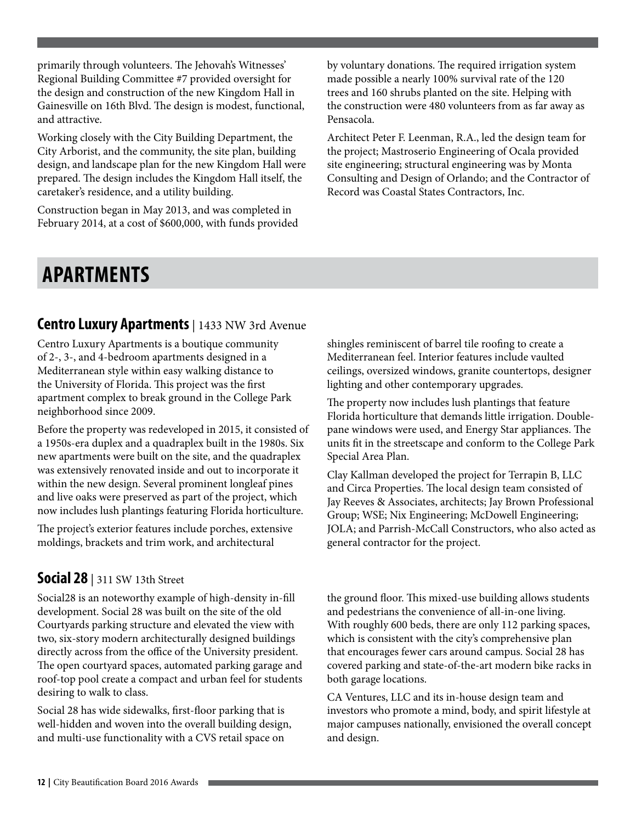primarily through volunteers. The Jehovah's Witnesses' Regional Building Committee #7 provided oversight for the design and construction of the new Kingdom Hall in Gainesville on 16th Blvd. The design is modest, functional, and attractive.

Working closely with the City Building Department, the City Arborist, and the community, the site plan, building design, and landscape plan for the new Kingdom Hall were prepared. The design includes the Kingdom Hall itself, the caretaker's residence, and a utility building.

Construction began in May 2013, and was completed in February 2014, at a cost of \$600,000, with funds provided by voluntary donations. The required irrigation system made possible a nearly 100% survival rate of the 120 trees and 160 shrubs planted on the site. Helping with the construction were 480 volunteers from as far away as Pensacola.

Architect Peter F. Leenman, R.A., led the design team for the project; Mastroserio Engineering of Ocala provided site engineering; structural engineering was by Monta Consulting and Design of Orlando; and the Contractor of Record was Coastal States Contractors, Inc.

### **APARTMENTS**

#### **Centro Luxury Apartments** | 1433 NW 3rd Avenue

Centro Luxury Apartments is a boutique community of 2-, 3-, and 4-bedroom apartments designed in a Mediterranean style within easy walking distance to the University of Florida. This project was the first apartment complex to break ground in the College Park neighborhood since 2009.

Before the property was redeveloped in 2015, it consisted of a 1950s-era duplex and a quadraplex built in the 1980s. Six new apartments were built on the site, and the quadraplex was extensively renovated inside and out to incorporate it within the new design. Several prominent longleaf pines and live oaks were preserved as part of the project, which now includes lush plantings featuring Florida horticulture.

The project's exterior features include porches, extensive moldings, brackets and trim work, and architectural

#### **Social 28** | 311 SW 13th Street

Social28 is an noteworthy example of high-density in-fill development. Social 28 was built on the site of the old Courtyards parking structure and elevated the view with two, six-story modern architecturally designed buildings directly across from the office of the University president. The open courtyard spaces, automated parking garage and roof-top pool create a compact and urban feel for students desiring to walk to class.

Social 28 has wide sidewalks, first-floor parking that is well-hidden and woven into the overall building design, and multi-use functionality with a CVS retail space on

shingles reminiscent of barrel tile roofing to create a Mediterranean feel. Interior features include vaulted ceilings, oversized windows, granite countertops, designer lighting and other contemporary upgrades.

The property now includes lush plantings that feature Florida horticulture that demands little irrigation. Doublepane windows were used, and Energy Star appliances. The units fit in the streetscape and conform to the College Park Special Area Plan.

Clay Kallman developed the project for Terrapin B, LLC and Circa Properties. The local design team consisted of Jay Reeves & Associates, architects; Jay Brown Professional Group; WSE; Nix Engineering; McDowell Engineering; JOLA; and Parrish-McCall Constructors, who also acted as general contractor for the project.

the ground floor. This mixed-use building allows students and pedestrians the convenience of all-in-one living. With roughly 600 beds, there are only 112 parking spaces, which is consistent with the city's comprehensive plan that encourages fewer cars around campus. Social 28 has covered parking and state-of-the-art modern bike racks in both garage locations.

CA Ventures, LLC and its in-house design team and investors who promote a mind, body, and spirit lifestyle at major campuses nationally, envisioned the overall concept and design.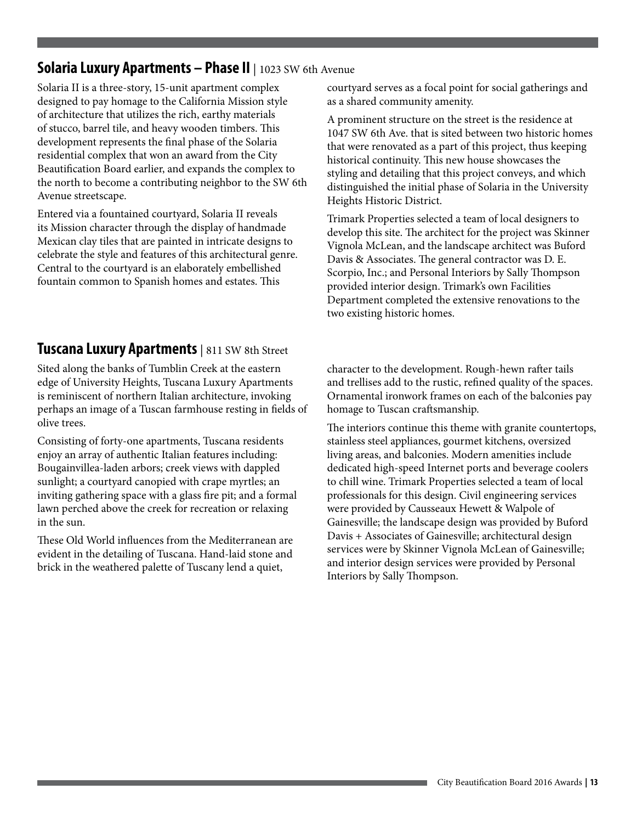#### **Solaria Luxury Apartments - Phase II** | 1023 SW 6th Avenue

Solaria II is a three-story, 15-unit apartment complex designed to pay homage to the California Mission style of architecture that utilizes the rich, earthy materials of stucco, barrel tile, and heavy wooden timbers. This development represents the final phase of the Solaria residential complex that won an award from the City Beautification Board earlier, and expands the complex to the north to become a contributing neighbor to the SW 6th Avenue streetscape.

Entered via a fountained courtyard, Solaria II reveals its Mission character through the display of handmade Mexican clay tiles that are painted in intricate designs to celebrate the style and features of this architectural genre. Central to the courtyard is an elaborately embellished fountain common to Spanish homes and estates. This

#### **Tuscana Luxury Apartments** | 811 SW 8th Street

Sited along the banks of Tumblin Creek at the eastern edge of University Heights, Tuscana Luxury Apartments is reminiscent of northern Italian architecture, invoking perhaps an image of a Tuscan farmhouse resting in fields of olive trees.

Consisting of forty-one apartments, Tuscana residents enjoy an array of authentic Italian features including: Bougainvillea-laden arbors; creek views with dappled sunlight; a courtyard canopied with crape myrtles; an inviting gathering space with a glass fire pit; and a formal lawn perched above the creek for recreation or relaxing in the sun.

These Old World influences from the Mediterranean are evident in the detailing of Tuscana. Hand-laid stone and brick in the weathered palette of Tuscany lend a quiet,

courtyard serves as a focal point for social gatherings and as a shared community amenity.

A prominent structure on the street is the residence at 1047 SW 6th Ave. that is sited between two historic homes that were renovated as a part of this project, thus keeping historical continuity. This new house showcases the styling and detailing that this project conveys, and which distinguished the initial phase of Solaria in the University Heights Historic District.

Trimark Properties selected a team of local designers to develop this site. The architect for the project was Skinner Vignola McLean, and the landscape architect was Buford Davis & Associates. The general contractor was D. E. Scorpio, Inc.; and Personal Interiors by Sally Thompson provided interior design. Trimark's own Facilities Department completed the extensive renovations to the two existing historic homes.

character to the development. Rough-hewn rafter tails and trellises add to the rustic, refined quality of the spaces. Ornamental ironwork frames on each of the balconies pay homage to Tuscan craftsmanship.

The interiors continue this theme with granite countertops, stainless steel appliances, gourmet kitchens, oversized living areas, and balconies. Modern amenities include dedicated high-speed Internet ports and beverage coolers to chill wine. Trimark Properties selected a team of local professionals for this design. Civil engineering services were provided by Causseaux Hewett & Walpole of Gainesville; the landscape design was provided by Buford Davis + Associates of Gainesville; architectural design services were by Skinner Vignola McLean of Gainesville; and interior design services were provided by Personal Interiors by Sally Thompson.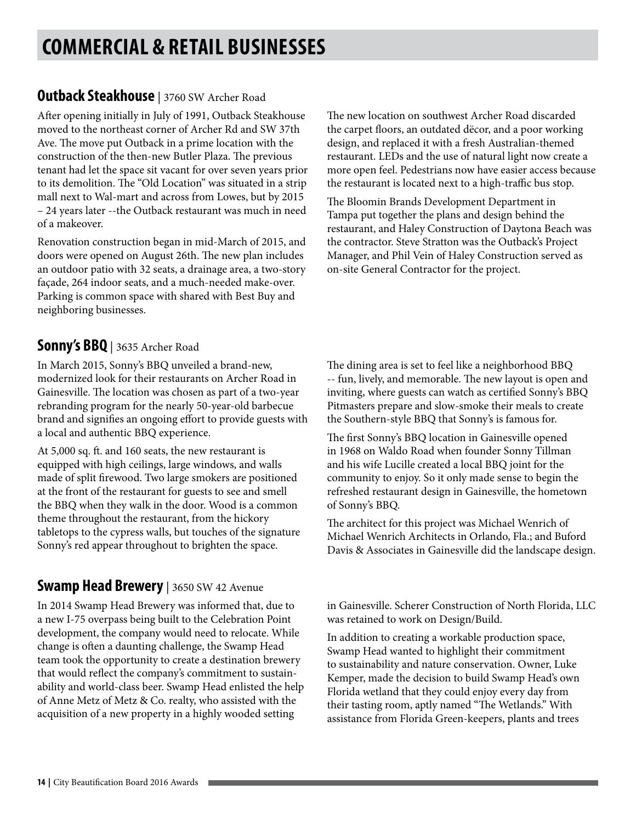# **COMMERCIAL & RETAIL BUSINESSES**

#### **Outback Steakhouse** | 3760 SW Archer Road

After opening initially in July of 1991, Outback Steakhouse moved to the northeast corner of Archer Rd and SW 37th Ave. The move put Outback in a prime location with the construction of the then-new Butler Plaza. The previous tenant had let the space sit vacant for over seven years prior to its demolition. The "Old Location" was situated in a strip mall next to Wal-mart and across from Lowes, but by 2015 – 24 years later --the Outback restaurant was much in need of a makeover.

Renovation construction began in mid-March of 2015, and doors were opened on August 26th. The new plan includes an outdoor patio with 32 seats, a drainage area, a two-story façade, 264 indoor seats, and a much-needed make-over. Parking is common space with shared with Best Buy and neighboring businesses.

#### **Sonny's BBQ** | 3635 Archer Road

In March 2015, Sonny's BBQ unveiled a brand-new, modernized look for their restaurants on Archer Road in Gainesville. The location was chosen as part of a two-year rebranding program for the nearly 50-year-old barbecue brand and signifies an ongoing effort to provide guests with a local and authentic BBQ experience.

At 5,000 sq. ft. and 160 seats, the new restaurant is equipped with high ceilings, large windows, and walls made of split firewood. Two large smokers are positioned at the front of the restaurant for guests to see and smell the BBQ when they walk in the door. Wood is a common theme throughout the restaurant, from the hickory tabletops to the cypress walls, but touches of the signature Sonny's red appear throughout to brighten the space.

### **Swamp Head Brewery** | 3650 SW 42 Avenue

In 2014 Swamp Head Brewery was informed that, due to a new I-75 overpass being built to the Celebration Point development, the company would need to relocate. While change is often a daunting challenge, the Swamp Head team took the opportunity to create a destination brewery that would reflect the company's commitment to sustainability and world-class beer. Swamp Head enlisted the help of Anne Metz of Metz & Co. realty, who assisted with the acquisition of a new property in a highly wooded setting

The new location on southwest Archer Road discarded the carpet floors, an outdated dëcor, and a poor working design, and replaced it with a fresh Australian-themed restaurant. LEDs and the use of natural light now create a more open feel. Pedestrians now have easier access because the restaurant is located next to a high-traffic bus stop.

The Bloomin Brands Development Department in Tampa put together the plans and design behind the restaurant, and Haley Construction of Daytona Beach was the contractor. Steve Stratton was the Outback's Project Manager, and Phil Vein of Haley Construction served as on-site General Contractor for the project.

The dining area is set to feel like a neighborhood BBQ -- fun, lively, and memorable. The new layout is open and inviting, where guests can watch as certified Sonny's BBQ Pitmasters prepare and slow-smoke their meals to create the Southern-style BBQ that Sonny's is famous for.

The first Sonny's BBQ location in Gainesville opened in 1968 on Waldo Road when founder Sonny Tillman and his wife Lucille created a local BBQ joint for the community to enjoy. So it only made sense to begin the refreshed restaurant design in Gainesville, the hometown of Sonny's BBQ.

The architect for this project was Michael Wenrich of Michael Wenrich Architects in Orlando, Fla.; and Buford Davis & Associates in Gainesville did the landscape design.

in Gainesville. Scherer Construction of North Florida, LLC was retained to work on Design/Build.

In addition to creating a workable production space, Swamp Head wanted to highlight their commitment to sustainability and nature conservation. Owner, Luke Kemper, made the decision to build Swamp Head's own Florida wetland that they could enjoy every day from their tasting room, aptly named "The Wetlands." With assistance from Florida Green-keepers, plants and trees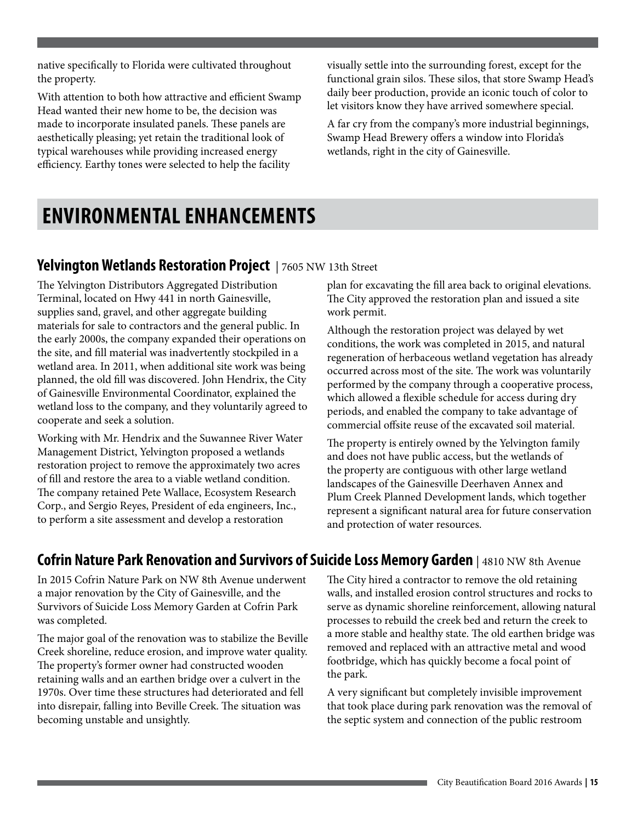native specifically to Florida were cultivated throughout the property.

With attention to both how attractive and efficient Swamp Head wanted their new home to be, the decision was made to incorporate insulated panels. These panels are aesthetically pleasing; yet retain the traditional look of typical warehouses while providing increased energy efficiency. Earthy tones were selected to help the facility

visually settle into the surrounding forest, except for the functional grain silos. These silos, that store Swamp Head's daily beer production, provide an iconic touch of color to let visitors know they have arrived somewhere special.

A far cry from the company's more industrial beginnings, Swamp Head Brewery offers a window into Florida's wetlands, right in the city of Gainesville.

### **ENVIRONMENTAL ENHANCEMENTS**

#### **Yelvington Wetlands Restoration Project** | 7605 NW 13th Street

The Yelvington Distributors Aggregated Distribution Terminal, located on Hwy 441 in north Gainesville, supplies sand, gravel, and other aggregate building materials for sale to contractors and the general public. In the early 2000s, the company expanded their operations on the site, and fill material was inadvertently stockpiled in a wetland area. In 2011, when additional site work was being planned, the old fill was discovered. John Hendrix, the City of Gainesville Environmental Coordinator, explained the wetland loss to the company, and they voluntarily agreed to cooperate and seek a solution.

Working with Mr. Hendrix and the Suwannee River Water Management District, Yelvington proposed a wetlands restoration project to remove the approximately two acres of fill and restore the area to a viable wetland condition. The company retained Pete Wallace, Ecosystem Research Corp., and Sergio Reyes, President of eda engineers, Inc., to perform a site assessment and develop a restoration

plan for excavating the fill area back to original elevations. The City approved the restoration plan and issued a site work permit.

Although the restoration project was delayed by wet conditions, the work was completed in 2015, and natural regeneration of herbaceous wetland vegetation has already occurred across most of the site. The work was voluntarily performed by the company through a cooperative process, which allowed a flexible schedule for access during dry periods, and enabled the company to take advantage of commercial offsite reuse of the excavated soil material.

The property is entirely owned by the Yelvington family and does not have public access, but the wetlands of the property are contiguous with other large wetland landscapes of the Gainesville Deerhaven Annex and Plum Creek Planned Development lands, which together represent a significant natural area for future conservation and protection of water resources.

### **Cofrin Nature Park Renovation and Survivors of Suicide Loss Memory Garden** | 4810 NW 8th Avenue

In 2015 Cofrin Nature Park on NW 8th Avenue underwent a major renovation by the City of Gainesville, and the Survivors of Suicide Loss Memory Garden at Cofrin Park was completed.

The major goal of the renovation was to stabilize the Beville Creek shoreline, reduce erosion, and improve water quality. The property's former owner had constructed wooden retaining walls and an earthen bridge over a culvert in the 1970s. Over time these structures had deteriorated and fell into disrepair, falling into Beville Creek. The situation was becoming unstable and unsightly.

The City hired a contractor to remove the old retaining walls, and installed erosion control structures and rocks to serve as dynamic shoreline reinforcement, allowing natural processes to rebuild the creek bed and return the creek to a more stable and healthy state. The old earthen bridge was removed and replaced with an attractive metal and wood footbridge, which has quickly become a focal point of the park.

A very significant but completely invisible improvement that took place during park renovation was the removal of the septic system and connection of the public restroom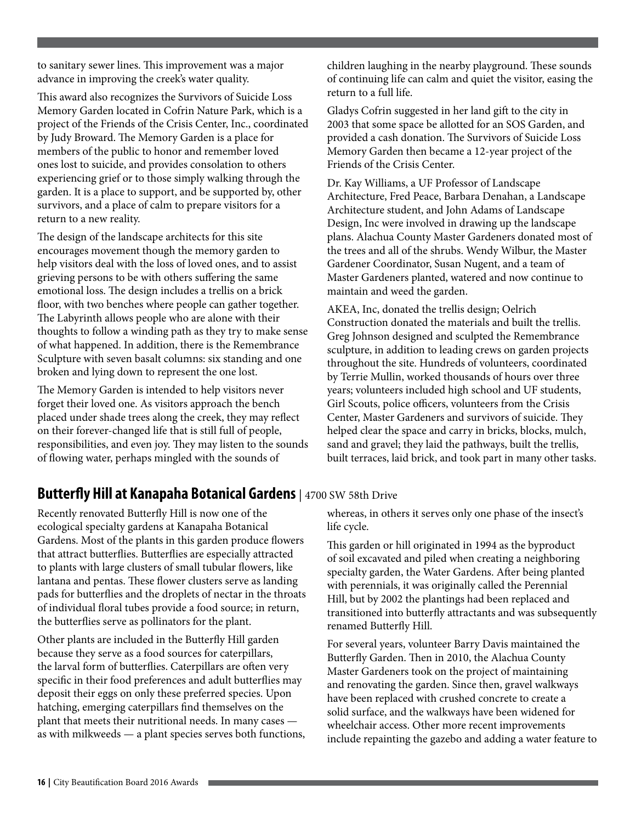to sanitary sewer lines. This improvement was a major advance in improving the creek's water quality.

This award also recognizes the Survivors of Suicide Loss Memory Garden located in Cofrin Nature Park, which is a project of the Friends of the Crisis Center, Inc., coordinated by Judy Broward. The Memory Garden is a place for members of the public to honor and remember loved ones lost to suicide, and provides consolation to others experiencing grief or to those simply walking through the garden. It is a place to support, and be supported by, other survivors, and a place of calm to prepare visitors for a return to a new reality.

The design of the landscape architects for this site encourages movement though the memory garden to help visitors deal with the loss of loved ones, and to assist grieving persons to be with others suffering the same emotional loss. The design includes a trellis on a brick floor, with two benches where people can gather together. The Labyrinth allows people who are alone with their thoughts to follow a winding path as they try to make sense of what happened. In addition, there is the Remembrance Sculpture with seven basalt columns: six standing and one broken and lying down to represent the one lost.

The Memory Garden is intended to help visitors never forget their loved one. As visitors approach the bench placed under shade trees along the creek, they may reflect on their forever-changed life that is still full of people, responsibilities, and even joy. They may listen to the sounds of flowing water, perhaps mingled with the sounds of

children laughing in the nearby playground. These sounds of continuing life can calm and quiet the visitor, easing the return to a full life.

Gladys Cofrin suggested in her land gift to the city in 2003 that some space be allotted for an SOS Garden, and provided a cash donation. The Survivors of Suicide Loss Memory Garden then became a 12-year project of the Friends of the Crisis Center.

Dr. Kay Williams, a UF Professor of Landscape Architecture, Fred Peace, Barbara Denahan, a Landscape Architecture student, and John Adams of Landscape Design, Inc were involved in drawing up the landscape plans. Alachua County Master Gardeners donated most of the trees and all of the shrubs. Wendy Wilbur, the Master Gardener Coordinator, Susan Nugent, and a team of Master Gardeners planted, watered and now continue to maintain and weed the garden.

AKEA, Inc, donated the trellis design; Oelrich Construction donated the materials and built the trellis. Greg Johnson designed and sculpted the Remembrance sculpture, in addition to leading crews on garden projects throughout the site. Hundreds of volunteers, coordinated by Terrie Mullin, worked thousands of hours over three years; volunteers included high school and UF students, Girl Scouts, police officers, volunteers from the Crisis Center, Master Gardeners and survivors of suicide. They helped clear the space and carry in bricks, blocks, mulch, sand and gravel; they laid the pathways, built the trellis, built terraces, laid brick, and took part in many other tasks.

#### **Butterfly Hill at Kanapaha Botanical Gardens** | 4700 SW 58th Drive

Recently renovated Butterfly Hill is now one of the ecological specialty gardens at Kanapaha Botanical Gardens. Most of the plants in this garden produce flowers that attract butterflies. Butterflies are especially attracted to plants with large clusters of small tubular flowers, like lantana and pentas. These flower clusters serve as landing pads for butterflies and the droplets of nectar in the throats of individual floral tubes provide a food source; in return, the butterflies serve as pollinators for the plant.

Other plants are included in the Butterfly Hill garden because they serve as a food sources for caterpillars, the larval form of butterflies. Caterpillars are often very specific in their food preferences and adult butterflies may deposit their eggs on only these preferred species. Upon hatching, emerging caterpillars find themselves on the plant that meets their nutritional needs. In many cases as with milkweeds — a plant species serves both functions, whereas, in others it serves only one phase of the insect's life cycle.

This garden or hill originated in 1994 as the byproduct of soil excavated and piled when creating a neighboring specialty garden, the Water Gardens. After being planted with perennials, it was originally called the Perennial Hill, but by 2002 the plantings had been replaced and transitioned into butterfly attractants and was subsequently renamed Butterfly Hill.

For several years, volunteer Barry Davis maintained the Butterfly Garden. Then in 2010, the Alachua County Master Gardeners took on the project of maintaining and renovating the garden. Since then, gravel walkways have been replaced with crushed concrete to create a solid surface, and the walkways have been widened for wheelchair access. Other more recent improvements include repainting the gazebo and adding a water feature to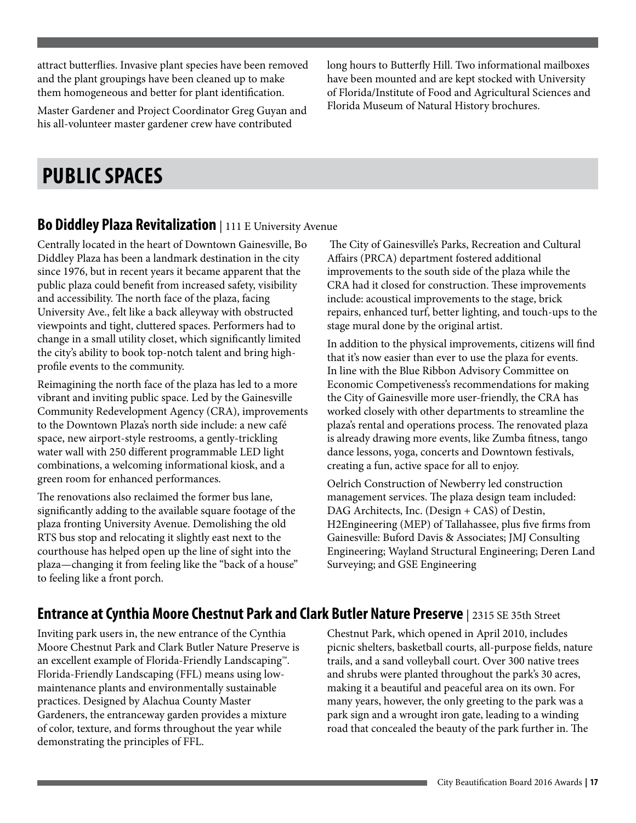attract butterflies. Invasive plant species have been removed and the plant groupings have been cleaned up to make them homogeneous and better for plant identification.

Master Gardener and Project Coordinator Greg Guyan and his all-volunteer master gardener crew have contributed

long hours to Butterfly Hill. Two informational mailboxes have been mounted and are kept stocked with University of Florida/Institute of Food and Agricultural Sciences and Florida Museum of Natural History brochures.

### **PUBLIC SPACES**

#### **Bo Diddley Plaza Revitalization** | 111 E University Avenue

Centrally located in the heart of Downtown Gainesville, Bo Diddley Plaza has been a landmark destination in the city since 1976, but in recent years it became apparent that the public plaza could benefit from increased safety, visibility and accessibility. The north face of the plaza, facing University Ave., felt like a back alleyway with obstructed viewpoints and tight, cluttered spaces. Performers had to change in a small utility closet, which significantly limited the city's ability to book top-notch talent and bring highprofile events to the community.

Reimagining the north face of the plaza has led to a more vibrant and inviting public space. Led by the Gainesville Community Redevelopment Agency (CRA), improvements to the Downtown Plaza's north side include: a new café space, new airport-style restrooms, a gently-trickling water wall with 250 different programmable LED light combinations, a welcoming informational kiosk, and a green room for enhanced performances.

The renovations also reclaimed the former bus lane, significantly adding to the available square footage of the plaza fronting University Avenue. Demolishing the old RTS bus stop and relocating it slightly east next to the courthouse has helped open up the line of sight into the plaza—changing it from feeling like the "back of a house" to feeling like a front porch.

 The City of Gainesville's Parks, Recreation and Cultural Affairs (PRCA) department fostered additional improvements to the south side of the plaza while the CRA had it closed for construction. These improvements include: acoustical improvements to the stage, brick repairs, enhanced turf, better lighting, and touch-ups to the stage mural done by the original artist.

In addition to the physical improvements, citizens will find that it's now easier than ever to use the plaza for events. In line with the Blue Ribbon Advisory Committee on Economic Competiveness's recommendations for making the City of Gainesville more user-friendly, the CRA has worked closely with other departments to streamline the plaza's rental and operations process. The renovated plaza is already drawing more events, like Zumba fitness, tango dance lessons, yoga, concerts and Downtown festivals, creating a fun, active space for all to enjoy.

Oelrich Construction of Newberry led construction management services. The plaza design team included: DAG Architects, Inc. (Design + CAS) of Destin, H2Engineering (MEP) of Tallahassee, plus five firms from Gainesville: Buford Davis & Associates; JMJ Consulting Engineering; Wayland Structural Engineering; Deren Land Surveying; and GSE Engineering

#### **Entrance at Cynthia Moore Chestnut Park and Clark Butler Nature Preserve** | 2315 SE 35th Street

Inviting park users in, the new entrance of the Cynthia Moore Chestnut Park and Clark Butler Nature Preserve is an excellent example of Florida-Friendly Landscaping™. Florida-Friendly Landscaping (FFL) means using lowmaintenance plants and environmentally sustainable practices. Designed by Alachua County Master Gardeners, the entranceway garden provides a mixture of color, texture, and forms throughout the year while demonstrating the principles of FFL.

Chestnut Park, which opened in April 2010, includes picnic shelters, basketball courts, all-purpose fields, nature trails, and a sand volleyball court. Over 300 native trees and shrubs were planted throughout the park's 30 acres, making it a beautiful and peaceful area on its own. For many years, however, the only greeting to the park was a park sign and a wrought iron gate, leading to a winding road that concealed the beauty of the park further in. The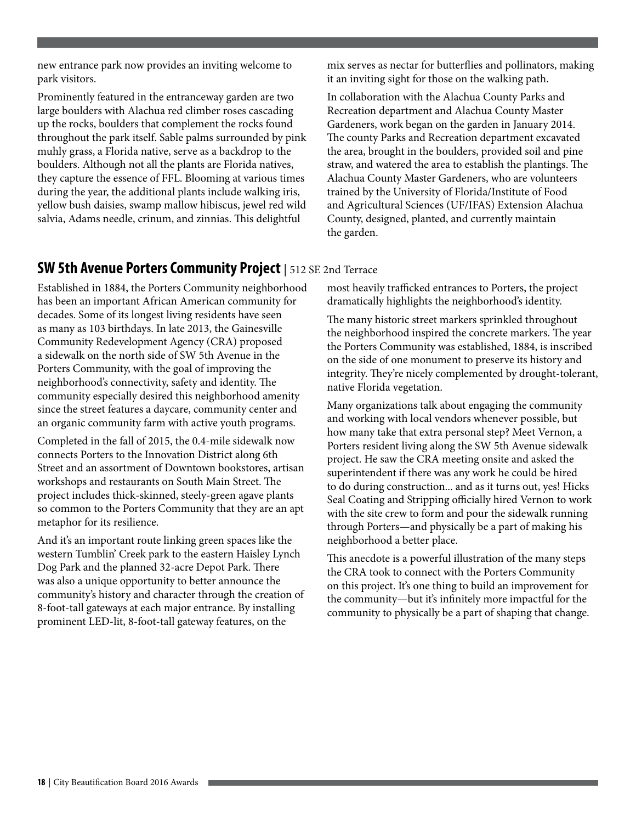new entrance park now provides an inviting welcome to park visitors.

Prominently featured in the entranceway garden are two large boulders with Alachua red climber roses cascading up the rocks, boulders that complement the rocks found throughout the park itself. Sable palms surrounded by pink muhly grass, a Florida native, serve as a backdrop to the boulders. Although not all the plants are Florida natives, they capture the essence of FFL. Blooming at various times during the year, the additional plants include walking iris, yellow bush daisies, swamp mallow hibiscus, jewel red wild salvia, Adams needle, crinum, and zinnias. This delightful

mix serves as nectar for butterflies and pollinators, making it an inviting sight for those on the walking path.

In collaboration with the Alachua County Parks and Recreation department and Alachua County Master Gardeners, work began on the garden in January 2014. The county Parks and Recreation department excavated the area, brought in the boulders, provided soil and pine straw, and watered the area to establish the plantings. The Alachua County Master Gardeners, who are volunteers trained by the University of Florida/Institute of Food and Agricultural Sciences (UF/IFAS) Extension Alachua County, designed, planted, and currently maintain the garden.

#### **SW 5th Avenue Porters Community Project** | 512 SE 2nd Terrace

Established in 1884, the Porters Community neighborhood has been an important African American community for decades. Some of its longest living residents have seen as many as 103 birthdays. In late 2013, the Gainesville Community Redevelopment Agency (CRA) proposed a sidewalk on the north side of SW 5th Avenue in the Porters Community, with the goal of improving the neighborhood's connectivity, safety and identity. The community especially desired this neighborhood amenity since the street features a daycare, community center and an organic community farm with active youth programs.

Completed in the fall of 2015, the 0.4-mile sidewalk now connects Porters to the Innovation District along 6th Street and an assortment of Downtown bookstores, artisan workshops and restaurants on South Main Street. The project includes thick-skinned, steely-green agave plants so common to the Porters Community that they are an apt metaphor for its resilience.

And it's an important route linking green spaces like the western Tumblin' Creek park to the eastern Haisley Lynch Dog Park and the planned 32-acre Depot Park. There was also a unique opportunity to better announce the community's history and character through the creation of 8-foot-tall gateways at each major entrance. By installing prominent LED-lit, 8-foot-tall gateway features, on the

most heavily trafficked entrances to Porters, the project dramatically highlights the neighborhood's identity.

The many historic street markers sprinkled throughout the neighborhood inspired the concrete markers. The year the Porters Community was established, 1884, is inscribed on the side of one monument to preserve its history and integrity. They're nicely complemented by drought-tolerant, native Florida vegetation.

Many organizations talk about engaging the community and working with local vendors whenever possible, but how many take that extra personal step? Meet Vernon, a Porters resident living along the SW 5th Avenue sidewalk project. He saw the CRA meeting onsite and asked the superintendent if there was any work he could be hired to do during construction... and as it turns out, yes! Hicks Seal Coating and Stripping officially hired Vernon to work with the site crew to form and pour the sidewalk running through Porters—and physically be a part of making his neighborhood a better place.

This anecdote is a powerful illustration of the many steps the CRA took to connect with the Porters Community on this project. It's one thing to build an improvement for the community—but it's infinitely more impactful for the community to physically be a part of shaping that change.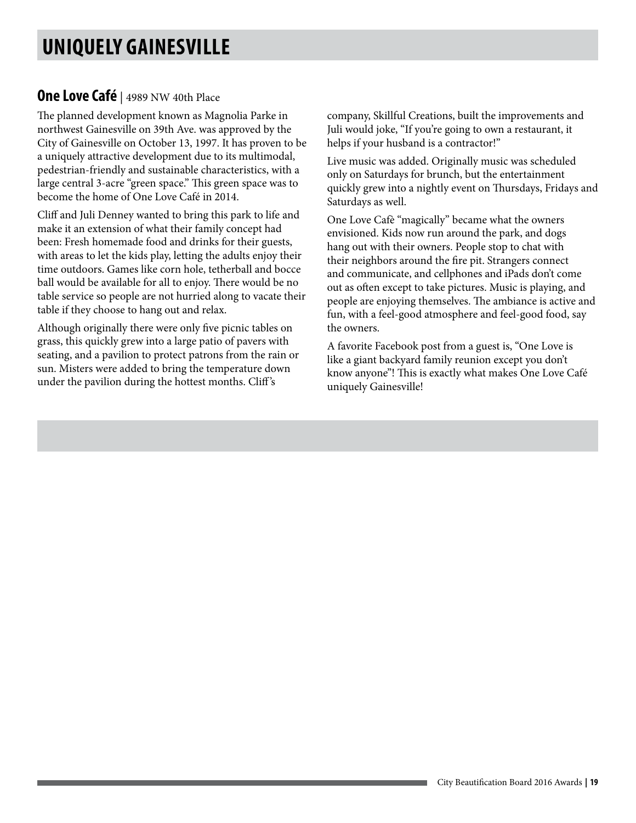### **UNIQUELY GAINESVILLE**

#### **One Love Café** | 4989 NW 40th Place

The planned development known as Magnolia Parke in northwest Gainesville on 39th Ave. was approved by the City of Gainesville on October 13, 1997. It has proven to be a uniquely attractive development due to its multimodal, pedestrian-friendly and sustainable characteristics, with a large central 3-acre "green space." This green space was to become the home of One Love Café in 2014.

Cliff and Juli Denney wanted to bring this park to life and make it an extension of what their family concept had been: Fresh homemade food and drinks for their guests, with areas to let the kids play, letting the adults enjoy their time outdoors. Games like corn hole, tetherball and bocce ball would be available for all to enjoy. There would be no table service so people are not hurried along to vacate their table if they choose to hang out and relax.

Although originally there were only five picnic tables on grass, this quickly grew into a large patio of pavers with seating, and a pavilion to protect patrons from the rain or sun. Misters were added to bring the temperature down under the pavilion during the hottest months. Cliff 's

company, Skillful Creations, built the improvements and Juli would joke, "If you're going to own a restaurant, it helps if your husband is a contractor!"

Live music was added. Originally music was scheduled only on Saturdays for brunch, but the entertainment quickly grew into a nightly event on Thursdays, Fridays and Saturdays as well.

One Love Cafè "magically" became what the owners envisioned. Kids now run around the park, and dogs hang out with their owners. People stop to chat with their neighbors around the fire pit. Strangers connect and communicate, and cellphones and iPads don't come out as often except to take pictures. Music is playing, and people are enjoying themselves. The ambiance is active and fun, with a feel-good atmosphere and feel-good food, say the owners.

A favorite Facebook post from a guest is, "One Love is like a giant backyard family reunion except you don't know anyone"! This is exactly what makes One Love Café uniquely Gainesville!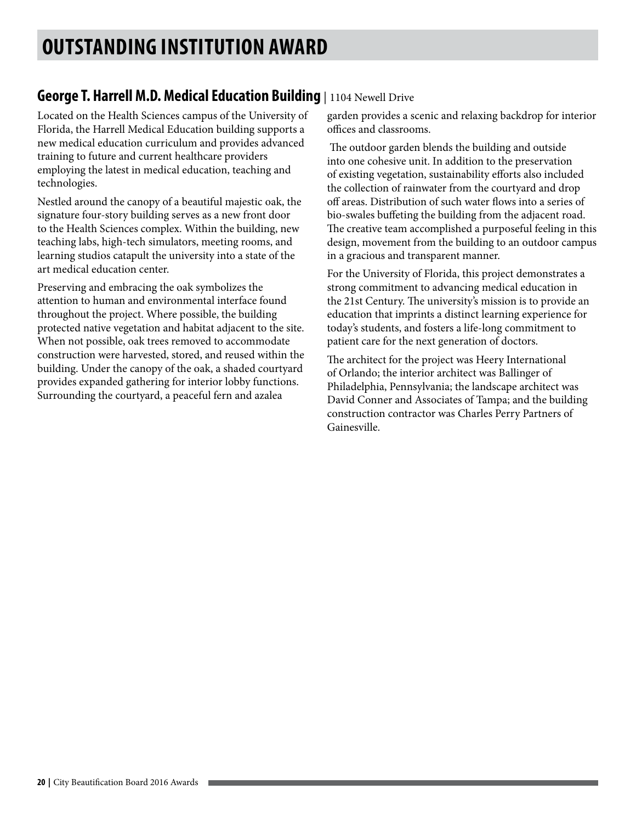### **George T. Harrell M.D. Medical Education Building** | 1104 Newell Drive

Located on the Health Sciences campus of the University of Florida, the Harrell Medical Education building supports a new medical education curriculum and provides advanced training to future and current healthcare providers employing the latest in medical education, teaching and technologies.

Nestled around the canopy of a beautiful majestic oak, the signature four-story building serves as a new front door to the Health Sciences complex. Within the building, new teaching labs, high-tech simulators, meeting rooms, and learning studios catapult the university into a state of the art medical education center.

Preserving and embracing the oak symbolizes the attention to human and environmental interface found throughout the project. Where possible, the building protected native vegetation and habitat adjacent to the site. When not possible, oak trees removed to accommodate construction were harvested, stored, and reused within the building. Under the canopy of the oak, a shaded courtyard provides expanded gathering for interior lobby functions. Surrounding the courtyard, a peaceful fern and azalea

garden provides a scenic and relaxing backdrop for interior offices and classrooms.

 The outdoor garden blends the building and outside into one cohesive unit. In addition to the preservation of existing vegetation, sustainability efforts also included the collection of rainwater from the courtyard and drop off areas. Distribution of such water flows into a series of bio-swales buffeting the building from the adjacent road. The creative team accomplished a purposeful feeling in this design, movement from the building to an outdoor campus in a gracious and transparent manner.

For the University of Florida, this project demonstrates a strong commitment to advancing medical education in the 21st Century. The university's mission is to provide an education that imprints a distinct learning experience for today's students, and fosters a life-long commitment to patient care for the next generation of doctors.

The architect for the project was Heery International of Orlando; the interior architect was Ballinger of Philadelphia, Pennsylvania; the landscape architect was David Conner and Associates of Tampa; and the building construction contractor was Charles Perry Partners of Gainesville.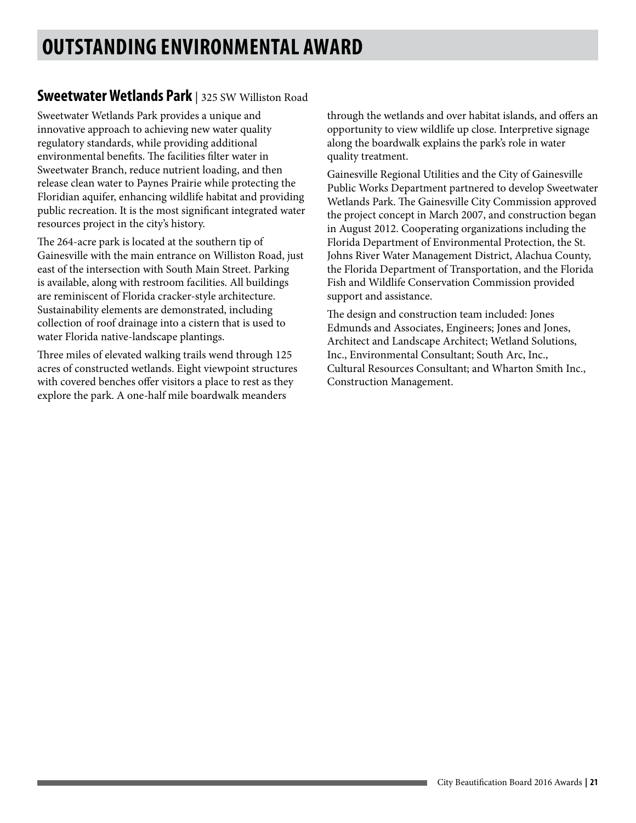# **OUTSTANDING ENVIRONMENTAL AWARD**

#### **Sweetwater Wetlands Park** | 325 SW Williston Road

Sweetwater Wetlands Park provides a unique and innovative approach to achieving new water quality regulatory standards, while providing additional environmental benefits. The facilities filter water in Sweetwater Branch, reduce nutrient loading, and then release clean water to Paynes Prairie while protecting the Floridian aquifer, enhancing wildlife habitat and providing public recreation. It is the most significant integrated water resources project in the city's history.

The 264-acre park is located at the southern tip of Gainesville with the main entrance on Williston Road, just east of the intersection with South Main Street. Parking is available, along with restroom facilities. All buildings are reminiscent of Florida cracker-style architecture. Sustainability elements are demonstrated, including collection of roof drainage into a cistern that is used to water Florida native-landscape plantings.

Three miles of elevated walking trails wend through 125 acres of constructed wetlands. Eight viewpoint structures with covered benches offer visitors a place to rest as they explore the park. A one-half mile boardwalk meanders

through the wetlands and over habitat islands, and offers an opportunity to view wildlife up close. Interpretive signage along the boardwalk explains the park's role in water quality treatment.

Gainesville Regional Utilities and the City of Gainesville Public Works Department partnered to develop Sweetwater Wetlands Park. The Gainesville City Commission approved the project concept in March 2007, and construction began in August 2012. Cooperating organizations including the Florida Department of Environmental Protection, the St. Johns River Water Management District, Alachua County, the Florida Department of Transportation, and the Florida Fish and Wildlife Conservation Commission provided support and assistance.

The design and construction team included: Jones Edmunds and Associates, Engineers; Jones and Jones, Architect and Landscape Architect; Wetland Solutions, Inc., Environmental Consultant; South Arc, Inc., Cultural Resources Consultant; and Wharton Smith Inc., Construction Management.